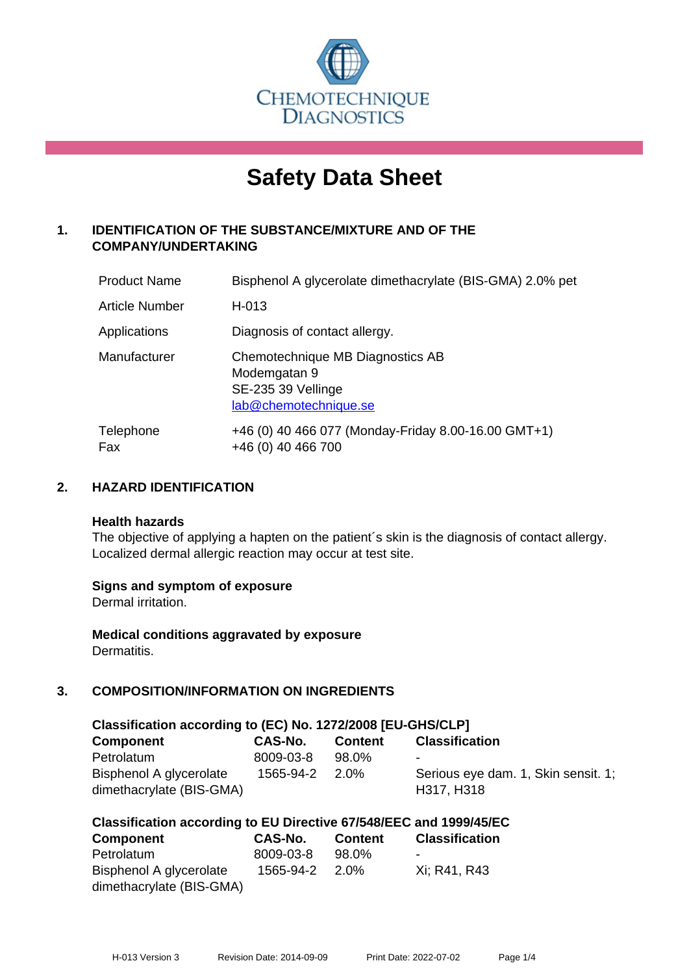

# **Safety Data Sheet**

# **1. IDENTIFICATION OF THE SUBSTANCE/MIXTURE AND OF THE COMPANY/UNDERTAKING**

| <b>Product Name</b>   | Bisphenol A glycerolate dimethacrylate (BIS-GMA) 2.0% pet                                       |
|-----------------------|-------------------------------------------------------------------------------------------------|
| <b>Article Number</b> | H-013                                                                                           |
| Applications          | Diagnosis of contact allergy.                                                                   |
| Manufacturer          | Chemotechnique MB Diagnostics AB<br>Modemgatan 9<br>SE-235 39 Vellinge<br>lab@chemotechnique.se |
| Telephone<br>Fax      | +46 (0) 40 466 077 (Monday-Friday 8.00-16.00 GMT+1)<br>+46 (0) 40 466 700                       |

# **2. HAZARD IDENTIFICATION**

#### **Health hazards**

The objective of applying a hapten on the patient's skin is the diagnosis of contact allergy. Localized dermal allergic reaction may occur at test site.

## **Signs and symptom of exposure**

Dermal irritation.

**Medical conditions aggravated by exposure** Dermatitis.

# **3. COMPOSITION/INFORMATION ON INGREDIENTS**

| Classification according to (EC) No. 1272/2008 [EU-GHS/CLP] |           |                |                                                   |
|-------------------------------------------------------------|-----------|----------------|---------------------------------------------------|
| <b>Component</b>                                            | CAS-No.   | <b>Content</b> | <b>Classification</b>                             |
| Petrolatum                                                  | 8009-03-8 | 98.0%          | $\blacksquare$                                    |
| Bisphenol A glycerolate<br>dimethacrylate (BIS-GMA)         | 1565-94-2 | 2.0%           | Serious eye dam. 1, Skin sensit. 1;<br>H317, H318 |

|  | Classification according to EU Directive 67/548/EEC and 1999/45/EC |  |  |  |  |
|--|--------------------------------------------------------------------|--|--|--|--|
|--|--------------------------------------------------------------------|--|--|--|--|

| <b>Component</b>         | CAS-No.   | <b>Content</b> | <b>Classification</b>    |
|--------------------------|-----------|----------------|--------------------------|
| Petrolatum               | 8009-03-8 | 98.0%          | $\overline{\phantom{0}}$ |
| Bisphenol A glycerolate  | 1565-94-2 | 2.0%           | Xi: R41, R43             |
| dimethacrylate (BIS-GMA) |           |                |                          |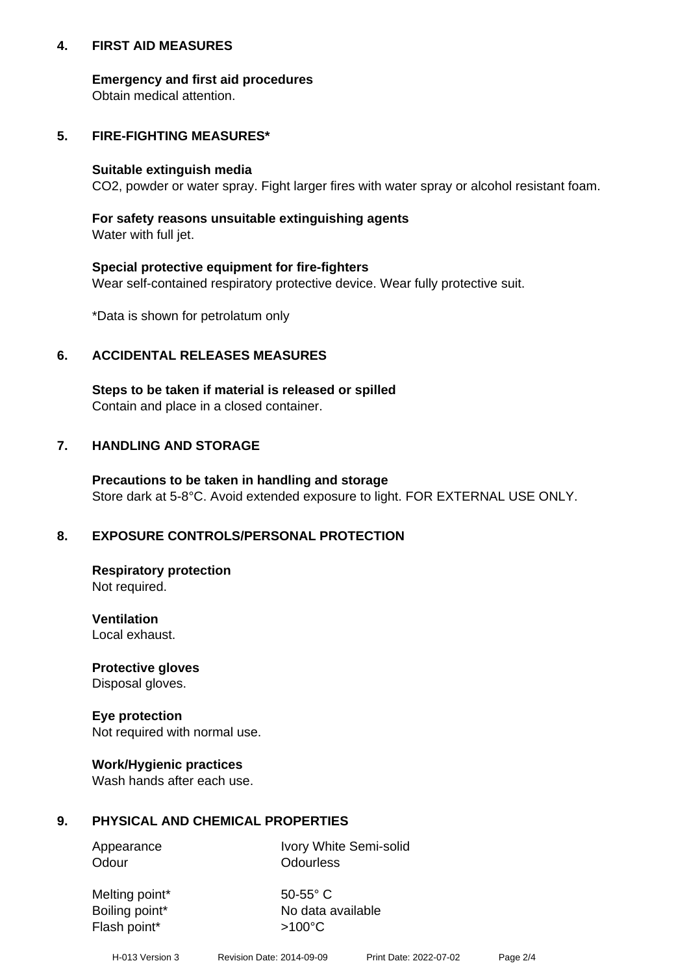## **4. FIRST AID MEASURES**

## **Emergency and first aid procedures**

Obtain medical attention.

# **5. FIRE-FIGHTING MEASURES\***

#### **Suitable extinguish media**

CO2, powder or water spray. Fight larger fires with water spray or alcohol resistant foam.

# **For safety reasons unsuitable extinguishing agents**

Water with full jet.

## **Special protective equipment for fire-fighters**

Wear self-contained respiratory protective device. Wear fully protective suit.

\*Data is shown for petrolatum only

## **6. ACCIDENTAL RELEASES MEASURES**

**Steps to be taken if material is released or spilled** Contain and place in a closed container.

# **7. HANDLING AND STORAGE**

**Precautions to be taken in handling and storage** Store dark at 5-8°C. Avoid extended exposure to light. FOR EXTERNAL USE ONLY.

# **8. EXPOSURE CONTROLS/PERSONAL PROTECTION**

**Respiratory protection** Not required.

**Ventilation** Local exhaust.

**Protective gloves** Disposal gloves.

#### **Eye protection** Not required with normal use.

## **Work/Hygienic practices**

Wash hands after each use.

## **9. PHYSICAL AND CHEMICAL PROPERTIES**

Odour **Odourless** 

Appearance Ivory White Semi-solid

Melting point\* 50-55° C Flash point\*  $>100^{\circ}$ C

Boiling point\* No data available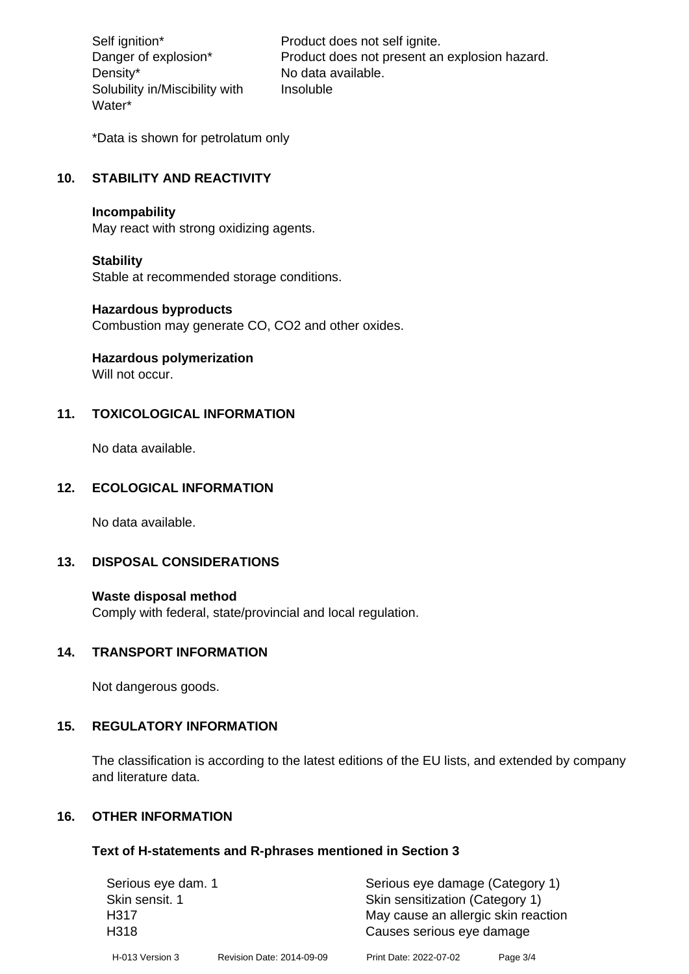Density\* No data available. Solubility in/Miscibility with Water\*

Self ignition\* Product does not self ignite. Danger of explosion\* Product does not present an explosion hazard. Insoluble

\*Data is shown for petrolatum only

# **10. STABILITY AND REACTIVITY**

#### **Incompability**

May react with strong oxidizing agents.

#### **Stability**

Stable at recommended storage conditions.

#### **Hazardous byproducts**

Combustion may generate CO, CO2 and other oxides.

**Hazardous polymerization**

Will not occur.

## **11. TOXICOLOGICAL INFORMATION**

No data available.

## **12. ECOLOGICAL INFORMATION**

No data available.

## **13. DISPOSAL CONSIDERATIONS**

#### **Waste disposal method**

Comply with federal, state/provincial and local regulation.

#### **14. TRANSPORT INFORMATION**

Not dangerous goods.

# **15. REGULATORY INFORMATION**

The classification is according to the latest editions of the EU lists, and extended by company and literature data.

#### **16. OTHER INFORMATION**

#### **Text of H-statements and R-phrases mentioned in Section 3**

| Serious eye dam. 1 |                           | Serious eye damage (Category 1)     |          |  |
|--------------------|---------------------------|-------------------------------------|----------|--|
| Skin sensit. 1     |                           | Skin sensitization (Category 1)     |          |  |
| H317               |                           | May cause an allergic skin reaction |          |  |
| H318               |                           | Causes serious eye damage           |          |  |
| H-013 Version 3    | Revision Date: 2014-09-09 | Print Date: 2022-07-02              | Page 3/4 |  |